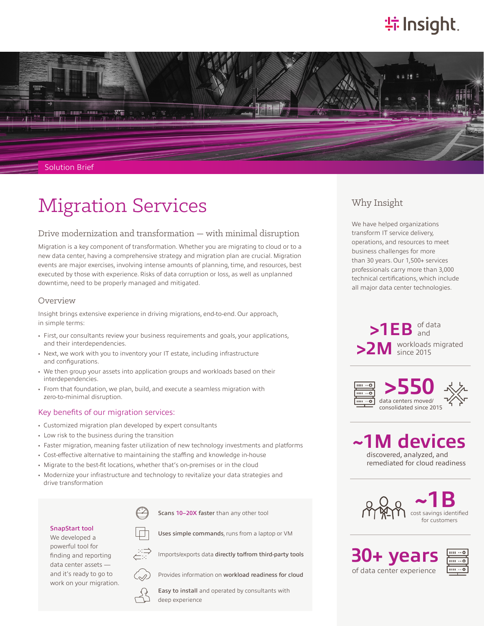# **特 Insight**.



#### Solution Brief

# Migration Services

## Drive modernization and transformation — with minimal disruption

Migration is a key component of transformation. Whether you are migrating to cloud or to a new data center, having a comprehensive strategy and migration plan are crucial. Migration events are major exercises, involving intense amounts of planning, time, and resources, best executed by those with experience. Risks of data corruption or loss, as well as unplanned downtime, need to be properly managed and mitigated.

#### Overview

Insight brings extensive experience in driving migrations, end-to-end. Our approach, in simple terms:

- First, our consultants review your business requirements and goals, your applications, and their interdependencies.
- Next, we work with you to inventory your IT estate, including infrastructure and configurations.
- We then group your assets into application groups and workloads based on their interdependencies.
- From that foundation, we plan, build, and execute a seamless migration with zero-to-minimal disruption.

#### Key benefits of our migration services:

- Customized migration plan developed by expert consultants
- Low risk to the business during the transition
- Faster migration, meaning faster utilization of new technology investments and platforms
- Cost-effective alternative to maintaining the staffing and knowledge in-house
- Migrate to the best-fit locations, whether that's on-premises or in the cloud
- Modernize your infrastructure and technology to revitalize your data strategies and drive transformation



Uses simple commands, runs from a laptop or VM

Scans 10-20X faster than any other tool



finding and reporting



Imports/exports data directly to/from third-party tools



Provides information on workload readiness for cloud



Easy to install and operated by consultants with deep experience

# Why Insight

We have helped organizations transform IT service delivery, operations, and resources to meet business challenges for more than 30 years. Our 1,500+ services professionals carry more than 3,000 technical certifications, which include all major data center technologies.

 $>1EB$  of data >2M workloads migrated and since 2015



**~1M devices** discovered, analyzed, and remediated for cloud readiness